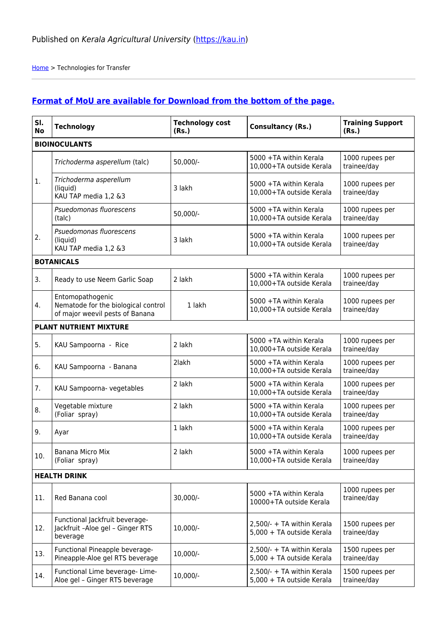[Home](https://kau.in/) > Technologies for Transfer

## **[Format of MoU are available for Download from the bottom of the page.](#page-4-0)**

| SI.<br><b>No</b>    | <b>Technology</b>                                                                          | <b>Technology cost</b><br>(Rs.) | <b>Consultancy (Rs.)</b>                                | <b>Training Support</b><br>(Rs.) |
|---------------------|--------------------------------------------------------------------------------------------|---------------------------------|---------------------------------------------------------|----------------------------------|
|                     | <b>BIOINOCULANTS</b>                                                                       |                                 |                                                         |                                  |
|                     | Trichoderma asperellum (talc)                                                              | $50,000/-$                      | 5000 +TA within Kerala<br>10,000+TA outside Kerala      | 1000 rupees per<br>trainee/day   |
| 1.                  | Trichoderma asperellum<br>(liquid)<br>KAU TAP media 1,2 &3                                 | 3 lakh                          | 5000 +TA within Kerala<br>10,000+TA outside Kerala      | 1000 rupees per<br>trainee/day   |
|                     | Psuedomonas fluorescens<br>(talc)                                                          | $50,000/-$                      | 5000 +TA within Kerala<br>10,000+TA outside Kerala      | 1000 rupees per<br>trainee/day   |
| 2.                  | Psuedomonas fluorescens<br>(liquid)<br>KAU TAP media 1,2 &3                                | 3 lakh                          | 5000 +TA within Kerala<br>10,000+TA outside Kerala      | 1000 rupees per<br>trainee/day   |
|                     | <b>BOTANICALS</b>                                                                          |                                 |                                                         |                                  |
| 3.                  | Ready to use Neem Garlic Soap                                                              | 2 lakh                          | 5000 +TA within Kerala<br>10,000+TA outside Kerala      | 1000 rupees per<br>trainee/day   |
| 4.                  | Entomopathogenic<br>Nematode for the biological control<br>of major weevil pests of Banana | 1 lakh                          | 5000 +TA within Kerala<br>10,000+TA outside Kerala      | 1000 rupees per<br>trainee/day   |
|                     | PLANT NUTRIENT MIXTURE                                                                     |                                 |                                                         |                                  |
| 5.                  | KAU Sampoorna - Rice                                                                       | 2 lakh                          | 5000 +TA within Kerala<br>10,000+TA outside Kerala      | 1000 rupees per<br>trainee/day   |
| 6.                  | KAU Sampoorna - Banana                                                                     | 2lakh                           | 5000 +TA within Kerala<br>10,000+TA outside Kerala      | 1000 rupees per<br>trainee/day   |
| 7.                  | KAU Sampoorna- vegetables                                                                  | 2 lakh                          | 5000 +TA within Kerala<br>10,000+TA outside Kerala      | 1000 rupees per<br>trainee/day   |
| 8.                  | Vegetable mixture<br>(Foliar spray)                                                        | 2 lakh                          | 5000 +TA within Kerala<br>10,000+TA outside Kerala      | 1000 rupees per<br>trainee/day   |
| 9.                  | Ayar                                                                                       | 1 lakh                          | 5000 +TA within Kerala<br>10,000+TA outside Kerala      | 1000 rupees per<br>trainee/day   |
| 10.                 | Banana Micro Mix<br>(Foliar spray)                                                         | 2 lakh                          | 5000 +TA within Kerala<br>10,000+TA outside Kerala      | 1000 rupees per<br>trainee/day   |
| <b>HEALTH DRINK</b> |                                                                                            |                                 |                                                         |                                  |
| 11.                 | Red Banana cool                                                                            | 30,000/-                        | 5000 +TA within Kerala<br>10000+TA outside Kerala       | 1000 rupees per<br>trainee/day   |
| 12.                 | Functional Jackfruit beverage-<br>Jackfruit -Aloe gel - Ginger RTS<br>beverage             | 10,000/-                        | 2,500/- + TA within Kerala<br>5,000 + TA outside Kerala | 1500 rupees per<br>trainee/day   |
| 13.                 | Functional Pineapple beverage-<br>Pineapple-Aloe gel RTS beverage                          | 10,000/-                        | 2,500/- + TA within Kerala<br>5,000 + TA outside Kerala | 1500 rupees per<br>trainee/day   |
| 14.                 | Functional Lime beverage- Lime-<br>Aloe gel - Ginger RTS beverage                          | 10,000/-                        | 2,500/- + TA within Kerala<br>5,000 + TA outside Kerala | 1500 rupees per<br>trainee/day   |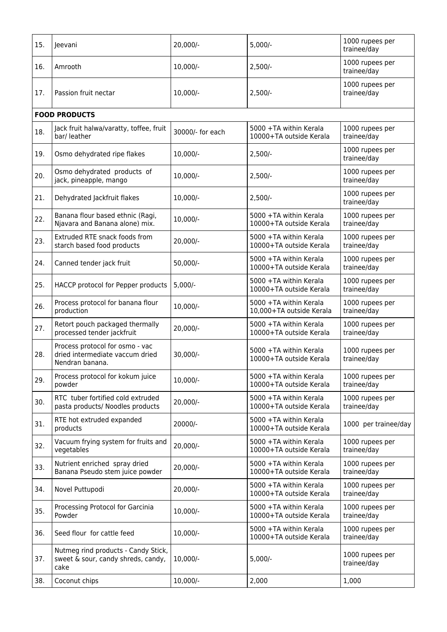| 15. | Jeevani                                                                               | 20,000/-         | $5,000/-$                                          | 1000 rupees per<br>trainee/day |
|-----|---------------------------------------------------------------------------------------|------------------|----------------------------------------------------|--------------------------------|
| 16. | Amrooth                                                                               | 10,000/-         | $2,500/-$                                          | 1000 rupees per<br>trainee/day |
| 17. | Passion fruit nectar                                                                  | 10,000/-         | $2,500/-$                                          | 1000 rupees per<br>trainee/day |
|     | <b>FOOD PRODUCTS</b>                                                                  |                  |                                                    |                                |
| 18. | Jack fruit halwa/varatty, toffee, fruit<br>bar/ leather                               | 30000/- for each | 5000 +TA within Kerala<br>10000+TA outside Kerala  | 1000 rupees per<br>trainee/day |
| 19. | Osmo dehydrated ripe flakes                                                           | $10,000/-$       | $2,500/-$                                          | 1000 rupees per<br>trainee/day |
| 20. | Osmo dehydrated products of<br>jack, pineapple, mango                                 | 10,000/-         | $2,500/-$                                          | 1000 rupees per<br>trainee/day |
| 21. | Dehydrated Jackfruit flakes                                                           | 10,000/-         | $2,500/-$                                          | 1000 rupees per<br>trainee/day |
| 22. | Banana flour based ethnic (Ragi,<br>Njavara and Banana alone) mix.                    | 10,000/-         | 5000 +TA within Kerala<br>10000+TA outside Kerala  | 1000 rupees per<br>trainee/day |
| 23. | Extruded RTE snack foods from<br>starch based food products                           | 20,000/-         | 5000 +TA within Kerala<br>10000+TA outside Kerala  | 1000 rupees per<br>trainee/day |
| 24. | Canned tender jack fruit                                                              | $50,000/-$       | 5000 +TA within Kerala<br>10000+TA outside Kerala  | 1000 rupees per<br>trainee/day |
| 25. | HACCP protocol for Pepper products                                                    | $5,000/-$        | 5000 +TA within Kerala<br>10000+TA outside Kerala  | 1000 rupees per<br>trainee/day |
| 26. | Process protocol for banana flour<br>production                                       | $10,000/-$       | 5000 +TA within Kerala<br>10,000+TA outside Kerala | 1000 rupees per<br>trainee/day |
| 27. | Retort pouch packaged thermally<br>processed tender jackfruit                         | 20,000/-         | 5000 +TA within Kerala<br>10000+TA outside Kerala  | 1000 rupees per<br>trainee/day |
| 28. | Process protocol for osmo - vac<br>dried intermediate vaccum dried<br>Nendran banana. | 30,000/-         | 5000 +TA within Kerala<br>10000+TA outside Kerala  | 1000 rupees per<br>trainee/day |
| 29. | Process protocol for kokum juice<br>powder                                            | $10,000/-$       | 5000 +TA within Kerala<br>10000+TA outside Kerala  | 1000 rupees per<br>trainee/day |
| 30. | RTC tuber fortified cold extruded<br>pasta products/ Noodles products                 | 20,000/-         | 5000 +TA within Kerala<br>10000+TA outside Kerala  | 1000 rupees per<br>trainee/day |
| 31. | RTE hot extruded expanded<br>products                                                 | 20000/-          | 5000 +TA within Kerala<br>10000+TA outside Kerala  | 1000 per trainee/day           |
| 32. | Vacuum frying system for fruits and<br>vegetables                                     | 20,000/-         | 5000 +TA within Kerala<br>10000+TA outside Kerala  | 1000 rupees per<br>trainee/day |
| 33. | Nutrient enriched spray dried<br>Banana Pseudo stem juice powder                      | 20,000/-         | 5000 +TA within Kerala<br>10000+TA outside Kerala  | 1000 rupees per<br>trainee/day |
| 34. | Novel Puttupodi                                                                       | 20,000/-         | 5000 +TA within Kerala<br>10000+TA outside Kerala  | 1000 rupees per<br>trainee/day |
| 35. | Processing Protocol for Garcinia<br>Powder                                            | 10,000/-         | 5000 +TA within Kerala<br>10000+TA outside Kerala  | 1000 rupees per<br>trainee/day |
| 36. | Seed flour for cattle feed                                                            | $10,000/-$       | 5000 +TA within Kerala<br>10000+TA outside Kerala  | 1000 rupees per<br>trainee/day |
| 37. | Nutmeg rind products - Candy Stick,<br>sweet & sour, candy shreds, candy,<br>cake     | $10,000/-$       | $5,000/-$                                          | 1000 rupees per<br>trainee/day |
| 38. | Coconut chips                                                                         | 10,000/-         | 2,000                                              | 1,000                          |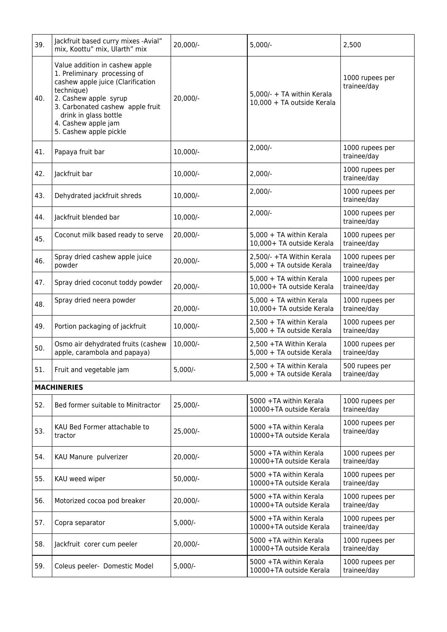| 39.                | Jackfruit based curry mixes -Avial"<br>mix, Koottu" mix, Ularth" mix                                                                                                                                                                                     | 20,000/-   | $5,000/-$                                                | 2,500                          |
|--------------------|----------------------------------------------------------------------------------------------------------------------------------------------------------------------------------------------------------------------------------------------------------|------------|----------------------------------------------------------|--------------------------------|
| 40.                | Value addition in cashew apple<br>1. Preliminary processing of<br>cashew apple juice (Clarification<br>technique)<br>2. Cashew apple syrup<br>3. Carbonated cashew apple fruit<br>drink in glass bottle<br>4. Cashew apple jam<br>5. Cashew apple pickle | 20,000/-   | 5,000/- + TA within Kerala<br>10,000 + TA outside Kerala | 1000 rupees per<br>trainee/day |
| 41.                | Papaya fruit bar                                                                                                                                                                                                                                         | $10,000/-$ | $2,000/-$                                                | 1000 rupees per<br>trainee/day |
| 42.                | Jackfruit bar                                                                                                                                                                                                                                            | 10,000/-   | $2,000/-$                                                | 1000 rupees per<br>trainee/day |
| 43.                | Dehydrated jackfruit shreds                                                                                                                                                                                                                              | 10,000/-   | $2,000/-$                                                | 1000 rupees per<br>trainee/day |
| 44.                | Jackfruit blended bar                                                                                                                                                                                                                                    | 10,000/-   | $2,000/-$                                                | 1000 rupees per<br>trainee/day |
| 45.                | Coconut milk based ready to serve                                                                                                                                                                                                                        | 20,000/-   | 5,000 + TA within Kerala<br>10,000+ TA outside Kerala    | 1000 rupees per<br>trainee/day |
| 46.                | Spray dried cashew apple juice<br>powder                                                                                                                                                                                                                 | 20,000/-   | 2,500/- +TA Within Kerala<br>5,000 + TA outside Kerala   | 1000 rupees per<br>trainee/day |
| 47.                | Spray dried coconut toddy powder                                                                                                                                                                                                                         | 20,000/-   | 5,000 + TA within Kerala<br>10,000+ TA outside Kerala    | 1000 rupees per<br>trainee/day |
| 48.                | Spray dried neera powder                                                                                                                                                                                                                                 | 20,000/-   | 5,000 + TA within Kerala<br>10,000+ TA outside Kerala    | 1000 rupees per<br>trainee/day |
| 49.                | Portion packaging of jackfruit                                                                                                                                                                                                                           | 10,000/-   | 2,500 + TA within Kerala<br>5,000 + TA outside Kerala    | 1000 rupees per<br>trainee/day |
| 50.                | Osmo air dehydrated fruits (cashew<br>apple, carambola and papaya)                                                                                                                                                                                       | $10,000/-$ | 2,500 +TA Within Kerala<br>5,000 + TA outside Kerala     | 1000 rupees per<br>trainee/day |
| 51.                | Fruit and vegetable jam                                                                                                                                                                                                                                  | $5,000/-$  | 2,500 + TA within Kerala<br>5,000 + TA outside Kerala    | 500 rupees per<br>trainee/day  |
| <b>MACHINERIES</b> |                                                                                                                                                                                                                                                          |            |                                                          |                                |
| 52.                | Bed former suitable to Minitractor                                                                                                                                                                                                                       | 25,000/-   | 5000 +TA within Kerala<br>10000+TA outside Kerala        | 1000 rupees per<br>trainee/day |
| 53.                | KAU Bed Former attachable to<br>tractor                                                                                                                                                                                                                  | $25,000/-$ | 5000 +TA within Kerala<br>10000+TA outside Kerala        | 1000 rupees per<br>trainee/day |
| 54.                | KAU Manure pulverizer                                                                                                                                                                                                                                    | $20,000/-$ | 5000 +TA within Kerala<br>10000+TA outside Kerala        | 1000 rupees per<br>trainee/day |
| 55.                | KAU weed wiper                                                                                                                                                                                                                                           | $50,000/-$ | 5000 +TA within Kerala<br>10000+TA outside Kerala        | 1000 rupees per<br>trainee/day |
| 56.                | Motorized cocoa pod breaker                                                                                                                                                                                                                              | $20,000/-$ | 5000 +TA within Kerala<br>10000+TA outside Kerala        | 1000 rupees per<br>trainee/day |
| 57.                | Copra separator                                                                                                                                                                                                                                          | $5,000/-$  | 5000 +TA within Kerala<br>10000+TA outside Kerala        | 1000 rupees per<br>trainee/day |
| 58.                | Jackfruit corer cum peeler                                                                                                                                                                                                                               | $20,000/-$ | 5000 +TA within Kerala<br>10000+TA outside Kerala        | 1000 rupees per<br>trainee/day |
| 59.                | Coleus peeler- Domestic Model                                                                                                                                                                                                                            | $5,000/-$  | 5000 +TA within Kerala<br>10000+TA outside Kerala        | 1000 rupees per<br>trainee/day |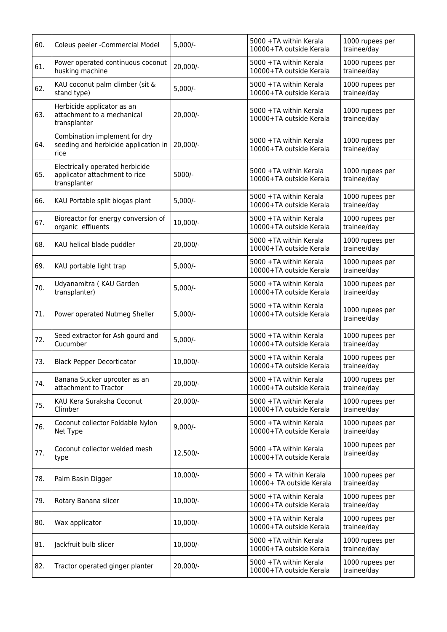| 60. | Coleus peeler - Commercial Model                                                 | $5,000/-$  | 5000 +TA within Kerala<br>10000+TA outside Kerala   | 1000 rupees per<br>trainee/day |
|-----|----------------------------------------------------------------------------------|------------|-----------------------------------------------------|--------------------------------|
| 61. | Power operated continuous coconut<br>husking machine                             | 20,000/-   | 5000 +TA within Kerala<br>10000+TA outside Kerala   | 1000 rupees per<br>trainee/day |
| 62. | KAU coconut palm climber (sit &<br>stand type)                                   | $5,000/-$  | 5000 +TA within Kerala<br>10000+TA outside Kerala   | 1000 rupees per<br>trainee/day |
| 63. | Herbicide applicator as an<br>attachment to a mechanical<br>transplanter         | 20,000/-   | 5000 +TA within Kerala<br>10000+TA outside Kerala   | 1000 rupees per<br>trainee/day |
| 64. | Combination implement for dry<br>seeding and herbicide application in<br>rice    | $20,000/-$ | 5000 +TA within Kerala<br>10000+TA outside Kerala   | 1000 rupees per<br>trainee/day |
| 65. | Electrically operated herbicide<br>applicator attachment to rice<br>transplanter | 5000/-     | 5000 +TA within Kerala<br>10000+TA outside Kerala   | 1000 rupees per<br>trainee/day |
| 66. | KAU Portable split biogas plant                                                  | $5,000/-$  | 5000 +TA within Kerala<br>10000+TA outside Kerala   | 1000 rupees per<br>trainee/day |
| 67. | Bioreactor for energy conversion of<br>organic effluents                         | 10,000/-   | 5000 +TA within Kerala<br>10000+TA outside Kerala   | 1000 rupees per<br>trainee/day |
| 68. | KAU helical blade puddler                                                        | 20,000/-   | 5000 +TA within Kerala<br>10000+TA outside Kerala   | 1000 rupees per<br>trainee/day |
| 69. | KAU portable light trap                                                          | $5,000/-$  | 5000 +TA within Kerala<br>10000+TA outside Kerala   | 1000 rupees per<br>trainee/day |
| 70. | Udyanamitra (KAU Garden<br>transplanter)                                         | $5,000/-$  | 5000 +TA within Kerala<br>10000+TA outside Kerala   | 1000 rupees per<br>trainee/day |
| 71. | Power operated Nutmeg Sheller                                                    | $5,000/-$  | 5000 +TA within Kerala<br>10000+TA outside Kerala   | 1000 rupees per<br>trainee/day |
| 72. | Seed extractor for Ash gourd and<br>Cucumber                                     | $5,000/-$  | 5000 +TA within Kerala<br>10000+TA outside Kerala   | 1000 rupees per<br>trainee/day |
| 73. | <b>Black Pepper Decorticator</b>                                                 | 10,000/-   | 5000 +TA within Kerala<br>10000+TA outside Kerala   | 1000 rupees per<br>trainee/day |
| 74. | Banana Sucker uprooter as an<br>attachment to Tractor                            | 20,000/-   | 5000 +TA within Kerala<br>10000+TA outside Kerala   | 1000 rupees per<br>trainee/day |
| 75. | KAU Kera Suraksha Coconut<br>Climber                                             | 20,000/-   | 5000 +TA within Kerala<br>10000+TA outside Kerala   | 1000 rupees per<br>trainee/day |
| 76. | Coconut collector Foldable Nylon<br>Net Type                                     | $9,000/-$  | 5000 +TA within Kerala<br>10000+TA outside Kerala   | 1000 rupees per<br>trainee/day |
| 77. | Coconut collector welded mesh<br>type                                            | 12,500/-   | 5000 +TA within Kerala<br>10000+TA outside Kerala   | 1000 rupees per<br>trainee/day |
| 78. | Palm Basin Digger                                                                | 10,000/-   | 5000 + TA within Kerala<br>10000+ TA outside Kerala | 1000 rupees per<br>trainee/day |
| 79. | Rotary Banana slicer                                                             | 10,000/-   | 5000 +TA within Kerala<br>10000+TA outside Kerala   | 1000 rupees per<br>trainee/day |
| 80. | Wax applicator                                                                   | 10,000/-   | 5000 +TA within Kerala<br>10000+TA outside Kerala   | 1000 rupees per<br>trainee/day |
| 81. | Jackfruit bulb slicer                                                            | 10,000/-   | 5000 +TA within Kerala<br>10000+TA outside Kerala   | 1000 rupees per<br>trainee/day |
| 82. | Tractor operated ginger planter                                                  | 20,000/-   | 5000 +TA within Kerala<br>10000+TA outside Kerala   | 1000 rupees per<br>trainee/day |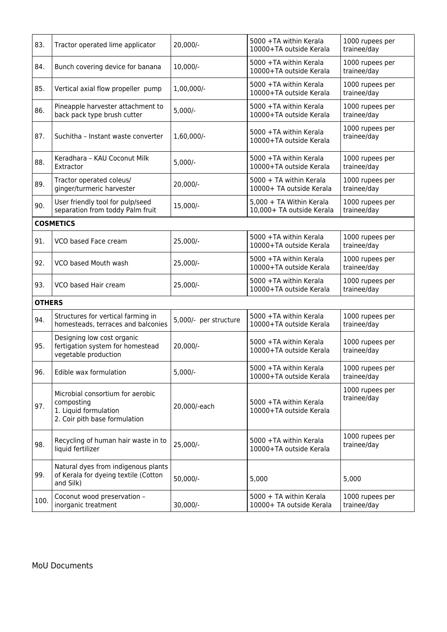<span id="page-4-0"></span>

| 83.              | Tractor operated lime applicator                                                                         | 20,000/-              | 5000 +TA within Kerala<br>10000+TA outside Kerala     | 1000 rupees per<br>trainee/day |
|------------------|----------------------------------------------------------------------------------------------------------|-----------------------|-------------------------------------------------------|--------------------------------|
| 84.              | Bunch covering device for banana                                                                         | 10,000/-              | 5000 +TA within Kerala<br>10000+TA outside Kerala     | 1000 rupees per<br>trainee/day |
| 85.              | Vertical axial flow propeller pump                                                                       | 1,00,000/-            | 5000 +TA within Kerala<br>10000+TA outside Kerala     | 1000 rupees per<br>trainee/day |
| 86.              | Pineapple harvester attachment to<br>back pack type brush cutter                                         | $5,000/-$             | 5000 +TA within Kerala<br>10000+TA outside Kerala     | 1000 rupees per<br>trainee/day |
| 87.              | Suchitha - Instant waste converter                                                                       | 1,60,000/-            | 5000 +TA within Kerala<br>10000+TA outside Kerala     | 1000 rupees per<br>trainee/day |
| 88.              | Keradhara - KAU Coconut Milk<br>Extractor                                                                | $5,000/-$             | 5000 +TA within Kerala<br>10000+TA outside Kerala     | 1000 rupees per<br>trainee/day |
| 89.              | Tractor operated coleus/<br>ginger/turmeric harvester                                                    | 20,000/-              | 5000 + TA within Kerala<br>10000+ TA outside Kerala   | 1000 rupees per<br>trainee/day |
| 90.              | User friendly tool for pulp/seed<br>separation from toddy Palm fruit                                     | 15,000/-              | 5,000 + TA Within Kerala<br>10,000+ TA outside Kerala | 1000 rupees per<br>trainee/day |
| <b>COSMETICS</b> |                                                                                                          |                       |                                                       |                                |
| 91.              | VCO based Face cream                                                                                     | 25,000/-              | 5000 +TA within Kerala<br>10000+TA outside Kerala     | 1000 rupees per<br>trainee/day |
| 92.              | VCO based Mouth wash                                                                                     | 25,000/-              | 5000 +TA within Kerala<br>10000+TA outside Kerala     | 1000 rupees per<br>trainee/day |
| 93.              | VCO based Hair cream                                                                                     | 25,000/-              | 5000 +TA within Kerala<br>10000+TA outside Kerala     | 1000 rupees per<br>trainee/day |
| <b>OTHERS</b>    |                                                                                                          |                       |                                                       |                                |
| 94.              | Structures for vertical farming in<br>homesteads, terraces and balconies                                 | 5,000/- per structure | 5000 +TA within Kerala<br>10000+TA outside Kerala     | 1000 rupees per<br>trainee/day |
| 95.              | Designing low cost organic<br>fertigation system for homestead<br>vegetable production                   | 20,000/-              | 5000 +TA within Kerala<br>10000+TA outside Kerala     | 1000 rupees per<br>trainee/day |
| 96.              | Edible wax formulation                                                                                   | $5,000/-$             | 5000 +TA within Kerala<br>10000+TA outside Kerala     | 1000 rupees per<br>trainee/day |
| 97.              | Microbial consortium for aerobic<br>composting<br>1. Liquid formulation<br>2. Coir pith base formulation | 20,000/-each          | 5000 +TA within Kerala<br>10000+TA outside Kerala     | 1000 rupees per<br>trainee/day |
| 98.              | Recycling of human hair waste in to<br>liquid fertilizer                                                 | 25,000/-              | 5000 +TA within Kerala<br>10000+TA outside Kerala     | 1000 rupees per<br>trainee/day |
| 99.              | Natural dyes from indigenous plants<br>of Kerala for dyeing textile (Cotton<br>and Silk)                 | 50,000/-              | 5,000                                                 | 5,000                          |
| 100.             | Coconut wood preservation -<br>inorganic treatment                                                       | 30,000/-              | 5000 + TA within Kerala<br>10000+ TA outside Kerala   | 1000 rupees per<br>trainee/day |